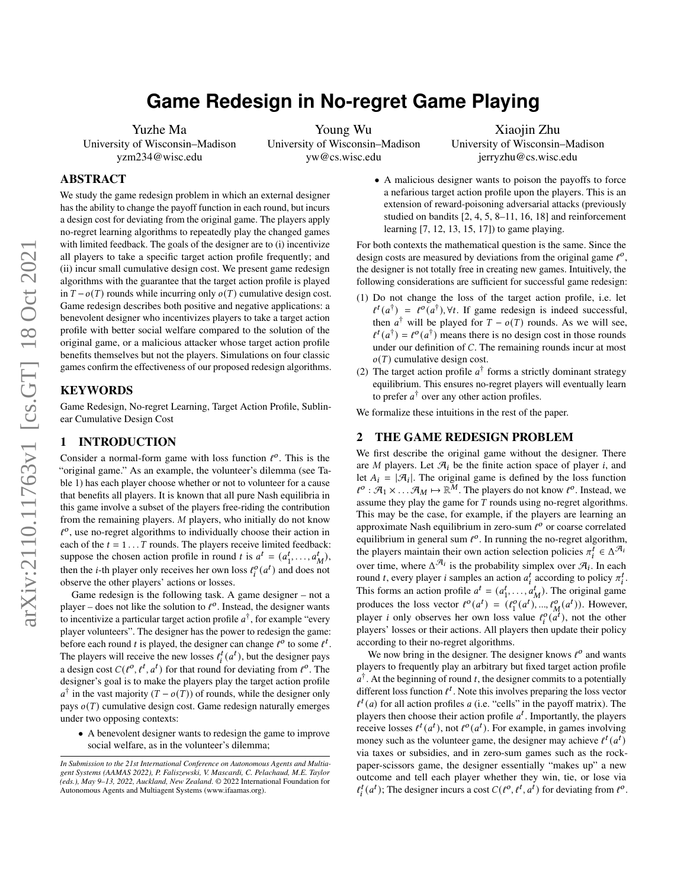# **Game Redesign in No-regret Game Playing**

Yuzhe Ma University of Wisconsin–Madison

yzm234@wisc.edu

Young Wu University of Wisconsin–Madison yw@cs.wisc.edu

Xiaojin Zhu University of Wisconsin–Madison jerryzhu@cs.wisc.edu

## ABSTRACT

We study the game redesign problem in which an external designer has the ability to change the payoff function in each round, but incurs a design cost for deviating from the original game. The players apply no-regret learning algorithms to repeatedly play the changed games with limited feedback. The goals of the designer are to (i) incentivize all players to take a specific target action profile frequently; and (ii) incur small cumulative design cost. We present game redesign algorithms with the guarantee that the target action profile is played in  $T - o(T)$  rounds while incurring only  $o(T)$  cumulative design cost. Game redesign describes both positive and negative applications: a benevolent designer who incentivizes players to take a target action profile with better social welfare compared to the solution of the original game, or a malicious attacker whose target action profile benefits themselves but not the players. Simulations on four classic games confirm the effectiveness of our proposed redesign algorithms.

## KEYWORDS

Game Redesign, No-regret Learning, Target Action Profile, Sublinear Cumulative Design Cost

#### 1 INTRODUCTION

Consider a normal-form game with loss function  $\ell^0$ . This is the "original game." As an example, the volunteer's dilemma (see Table [1\)](#page-5-0) has each player choose whether or not to volunteer for a cause that benefits all players. It is known that all pure Nash equilibria in this game involve a subset of the players free-riding the contribution from the remaining players. *M* players, who initially do not know  $\ell^o$ , use no-regret algorithms to individually choose their action in each of the  $t = 1 \dots T$  rounds. The players receive limited feedback: suppose the chosen action profile in round t is  $a^t = (a_1^t)$  $i_1^t, \ldots, a_M^t$ ), then the *i*-th player only receives her own loss  $t_i^o(a^t)$  and does not observe the other players' actions or losses.

Game redesign is the following task. A game designer – not a player – does not like the solution to  $\ell^o$ . Instead, the designer wants to incentivize a particular target action profile  $a^{\dagger}$ , for example "every player volunteers". The designer has the power to redesign the game: before each round t is played, the designer can change  $\ell^{\circ}$  to some  $\ell^{t}$ . The players will receive the new losses  $\ell_i^t(a^t)$ , but the designer pays a design cost  $C(\ell^o, \ell^t, a^t)$  for that round for deviating from  $\ell^o$ . The designer's goal is to make the players play the target action profile  $a^{\dagger}$  in the vast majority  $(T - o(T))$  of rounds, while the designer only pays  $o(T)$  cumulative design cost. Game redesign naturally emerges under two opposing contexts:

• A benevolent designer wants to redesign the game to improve social welfare, as in the volunteer's dilemma;

• A malicious designer wants to poison the payoffs to force a nefarious target action profile upon the players. This is an extension of reward-poisoning adversarial attacks (previously studied on bandits [\[2,](#page-8-0) [4,](#page-8-1) [5,](#page-8-2) [8–](#page-8-3)[11,](#page-8-4) [16,](#page-8-5) [18\]](#page-8-6) and reinforcement learning [\[7,](#page-8-7) [12,](#page-8-8) [13,](#page-8-9) [15,](#page-8-10) [17\]](#page-8-11)) to game playing.

For both contexts the mathematical question is the same. Since the design costs are measured by deviations from the original game  $\ell^0$ , the designer is not totally free in creating new games. Intuitively, the following considerations are sufficient for successful game redesign:

- (1) Do not change the loss of the target action profile, i.e. let  $\ell^t(a^{\dagger}) = \ell^{\circ}(a^{\dagger}), \forall t$ . If game redesign is indeed successful, then  $a^{\dagger}$  will be played for  $T - o(T)$  rounds. As we will see,  $\ell^t(a^{\dagger}) = \ell^o(a^{\dagger})$  means there is no design cost in those rounds under our definition of  $C$ . The remaining rounds incur at most  $o(T)$  cumulative design cost.
- (2) The target action profile  $a^{\dagger}$  forms a strictly dominant strategy equilibrium. This ensures no-regret players will eventually learn to prefer  $a^{\dagger}$  over any other action profiles.

We formalize these intuitions in the rest of the paper.

## 2 THE GAME REDESIGN PROBLEM

We first describe the original game without the designer. There are  $M$  players. Let  $\mathcal{A}_i$  be the finite action space of player i, and let  $A_i = |\mathcal{A}_i|$ . The original game is defined by the loss function  $\ell^o : \mathcal{A}_1 \times \ldots \times \mathcal{A}_M \mapsto \mathbb{R}^M$ . The players do not know  $\ell^o$ . Instead, we assume they play the game for  $T$  rounds using no-regret algorithms. This may be the case, for example, if the players are learning an approximate Nash equilibrium in zero-sum  $\ell^{\circ}$  or coarse correlated equilibrium in general sum  $\ell^0$ . In running the no-regret algorithm, the players maintain their own action selection policies  $\pi_i^{\vec{t}} \in \Delta^{\mathcal{A}_{i}}$ over time, where  $\Delta^{A_i}$  is the probability simplex over  $A_i$ . In each round t, every player i samples an action  $a_i^t$  according to policy  $\pi_i^t$ . This forms an action profile  $a^t = (a_1^t)$  $\frac{1}{1}, \ldots, \frac{1}{a_M}$ . The original game produces the loss vector  $\ell^o(a^t) = \ell_1^o$  $t_1^o(a^t), ..., t_M^o(a^t)$ ). However, player *i* only observes her own loss value  $\ell_i^o(a^t)$ , not the other players' losses or their actions. All players then update their policy according to their no-regret algorithms.

We now bring in the designer. The designer knows  $\ell^o$  and wants players to frequently play an arbitrary but fixed target action profile  $a^{\dagger}$ . At the beginning of round t, the designer commits to a potentially different loss function  $\ell^t$ . Note this involves preparing the loss vector  $\ell^t(a)$  for all action profiles a (i.e. "cells" in the payoff matrix). The players then choose their action profile  $a^t$ . Importantly, the players receive losses  $t^t(a^t)$ , not  $t^o(a^t)$ . For example, in games involving money such as the volunteer game, the designer may achieve  $\ell^t(a^t)$ via taxes or subsidies, and in zero-sum games such as the rockpaper-scissors game, the designer essentially "makes up" a new outcome and tell each player whether they win, tie, or lose via  $\ell_i^t(a^t)$ ; The designer incurs a cost  $C(\ell^o, \ell^t, a^t)$  for deviating from  $\ell^o$ .

*In Submission to the 21st International Conference on Autonomous Agents and Multiagent Systems (AAMAS 2022), P. Faliszewski, V. Mascardi, C. Pelachaud, M.E. Taylor (eds.), May 9–13, 2022, Auckland, New Zealand*. © 2022 International Foundation for Autonomous Agents and Multiagent Systems (www.ifaamas.org).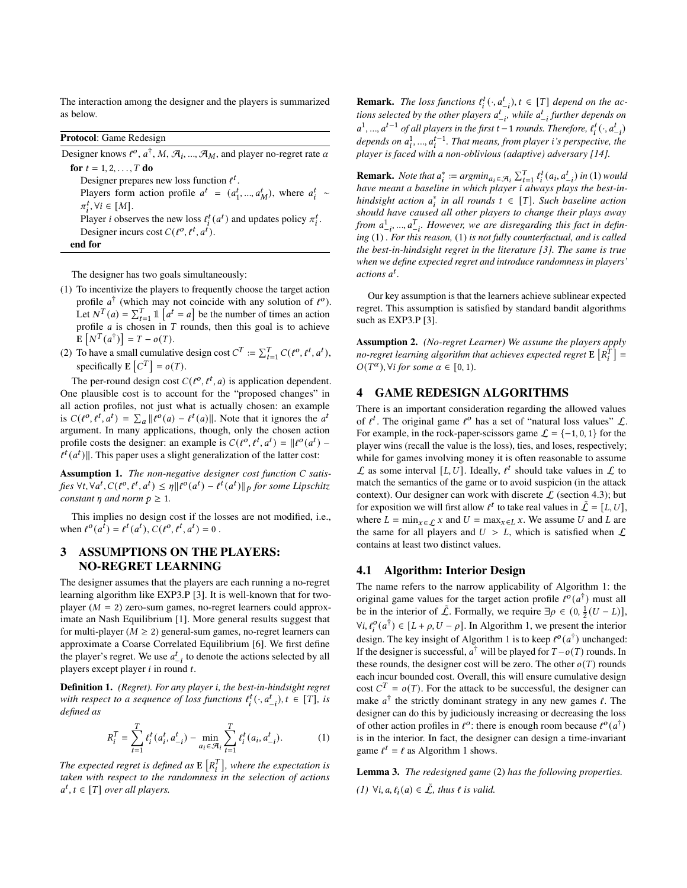The interaction among the designer and the players is summarized as below.

| <b>Protocol:</b> Game Redesign                                                                                     |
|--------------------------------------------------------------------------------------------------------------------|
| Designer knows $t^o$ , $a^{\dagger}$ , M, $\mathcal{A}_i$ , , $\mathcal{A}_M$ , and player no-regret rate $\alpha$ |
| <b>for</b> $t = 1, 2, , T$ <b>do</b>                                                                               |
| Designer prepares new loss function $t^t$ .                                                                        |
| Players form action profile $a^t = (a_1^t, , a_M^t)$ , where $a_i^t \sim$                                          |
| $\pi_i^t, \forall i \in [M].$                                                                                      |
| Player <i>i</i> observes the new loss $\ell_i^t(a^t)$ and updates policy $\pi_i^t$ .                               |
| Designer incurs cost $C(\ell^0, \ell^t, a^t)$ .                                                                    |
| end for                                                                                                            |

The designer has two goals simultaneously:

- (1) To incentivize the players to frequently choose the target action profile  $a^{\dagger}$  (which may not coincide with any solution of  $\ell^{0}$ ). Let  $N^T(a) = \sum_{t=1}^T \mathbb{1} \left[ a^t = a \right]$  be the number of times an action profile *a* is chosen in *T* rounds, then this goal is to achieve  $\mathbf{E}\left[N^T(a^{\dagger})\right] = T - o(T).$
- (2) To have a small cumulative design cost  $C^T := \sum_{t=1}^T C(\ell^o, \ell^t, a^t)$ , specifically  $E[C^T] = o(T)$ .

The per-round design cost  $C(\ell^o, \ell^t, a)$  is application dependent. One plausible cost is to account for the "proposed changes" in all action profiles, not just what is actually chosen: an example is  $C(\ell^o, \ell^r, a^t) = \sum_a ||\ell^o(a) - \ell^t(a)||$ . Note that it ignores the  $a^t$ argument. In many applications, though, only the chosen action profile costs the designer: an example is  $C(\ell^o, \ell^t, a^t) = ||\ell^o(a^t) \ell^t(a^t)$ ||. This paper uses a slight generalization of the latter cost:

Assumption 1. The non-negative designer cost function C satisfies  $\forall t, \forall a^t, C(\ell^o, \ell^t, a^t) \leq \eta \|\ell^o(a^t) - \ell^{\overrightarrow{t}}(a^t)\|_p$  for some Lipschitz *constant*  $\eta$  *and norm*  $p \geq 1$ *.* 

This implies no design cost if the losses are not modified, i.e., when  $\ell^o(a^{\vec{t}}) = \ell^t(a^t), C(\ell^o, \ell^t, a^t) = 0$ .

# 3 ASSUMPTIONS ON THE PLAYERS: NO-REGRET LEARNING

The designer assumes that the players are each running a no-regret learning algorithm like EXP3.P [\[3\]](#page-8-12). It is well-known that for twoplayer ( $M = 2$ ) zero-sum games, no-regret learners could approximate an Nash Equilibrium [\[1\]](#page-8-13). More general results suggest that for multi-player ( $M \ge 2$ ) general-sum games, no-regret learners can approximate a Coarse Correlated Equilibrium [\[6\]](#page-8-14). We first define the player's regret. We use  $a_{-i}^t$  to denote the actions selected by all players except player  $i$  in round  $t$ .

Definition 1. (Regret). For any player *i*, the best-in-hindsight regret with respect to a sequence of loss functions  $\ell_i^t(\cdot, a_{-i}^t), t \in [T]$ , is *defined as*

<span id="page-1-0"></span>
$$
R_i^T = \sum_{t=1}^T \ell_i^t (a_i^t, a_{-i}^t) - \min_{a_i \in \mathcal{A}_i} \sum_{t=1}^T \ell_i^t (a_i, a_{-i}^t). \tag{1}
$$

The expected regret is defined as  $E\left[R_i^T\right]$ , where the expectation is *taken with respect to the randomness in the selection of actions*  $a^t, t \in [T]$  over all players.

**Remark.** *The loss functions*  $\ell_i^t(\cdot, a_{-i}^t), t \in [T]$  *depend on the ac* $t$  *tions selected by the other players*  $a_{-i}^t$ *, while*  $a_{-i}^t$  *further depends on*  $a^1, ..., a^{t-1}$  of all players in the first  $t-1$  rounds. Therefore,  $\ell_i^t(\cdot, a_{-i}^t)$  $\alpha$  depends on  $a_i^1, ..., a_i^{t-1}$ . That means, from player *i's perspective, the player is faced with a non-oblivious (adaptive) adversary [\[14\]](#page-8-15).*

**Remark.** *Note that*  $a_i^* := argmin_{a_i \in \mathcal{A}_i} \sum_{t=1}^T \ell_i^t(a_i, a_{-i}^t)$  in [\(1\)](#page-1-0) would *have meant a baseline in which player always plays the best-inhindsight action*  $a_i^*$  *in all rounds*  $t \in [T]$ *. Such baseline action should have caused all other players to change their plays away* from  $a_{-i}^1$ , ...,  $a_{-i}^T$ . However, we are disregarding this fact in defin*ing* [\(1\)](#page-1-0) *. For this reason,* [\(1\)](#page-1-0) *is not fully counterfactual, and is called the best-in-hindsight regret in the literature [\[3\]](#page-8-12). The same is true when we define expected regret and introduce randomness in players' actions .*

Our key assumption is that the learners achieve sublinear expected regret. This assumption is satisfied by standard bandit algorithms such as EXP3.P [\[3\]](#page-8-12).

Assumption 2. *(No-regret Learner) We assume the players apply* no-regret learning algorithm that achieves expected regret  $E\left[R_i^T\right] =$  $O(T^{\alpha})$ ,  $\forall i$  for some  $\alpha \in [0, 1)$ .

## 4 GAME REDESIGN ALGORITHMS

There is an important consideration regarding the allowed values of  $\ell^t$ . The original game  $\ell^0$  has a set of "natural loss values"  $\mathcal{L}$ . For example, in the rock-paper-scissors game  $\mathcal{L} = \{-1, 0, 1\}$  for the player wins (recall the value is the loss), ties, and loses, respectively; while for games involving money it is often reasonable to assume  $\mathcal L$  as some interval [L, U]. Ideally,  $\ell^t$  should take values in  $\mathcal L$  to match the semantics of the game or to avoid suspicion (in the attack context). Our designer can work with discrete  $\mathcal{L}$  (section [4.3\)](#page-4-0); but for exposition we will first allow  $\ell^t$  to take real values in  $\tilde{\mathcal{L}} = [L, U]$ , where  $L = \min_{x \in \Gamma} x$  and  $U = \max_{x \in L} x$ . We assume U and L are the same for all players and  $U > L$ , which is satisfied when  $\mathcal L$ contains at least two distinct values.

#### 4.1 Algorithm: Interior Design

The name refers to the narrow applicability of Algorithm [1:](#page-2-0) the original game values for the target action profile  $\ell^{\circ}(a^{\dagger})$  must all be in the interior of  $\tilde{\mathcal{L}}$ . Formally, we require  $\exists \rho \in (0, \frac{1}{2}(U - L)),$  $\forall i, \ell_i^o(a^{\dagger}) \in [L + \rho, U - \rho]$ . In Algorithm [1,](#page-2-0) we present the interior design. The key insight of Algorithm [1](#page-2-0) is to keep  $\ell^o(a^{\dagger})$  unchanged: If the designer is successful,  $a^{\dagger}$  will be played for  $T - o(T)$  rounds. In these rounds, the designer cost will be zero. The other  $o(T)$  rounds each incur bounded cost. Overall, this will ensure cumulative design cost  $C^T = o(T)$ . For the attack to be successful, the designer can make  $a^{\dagger}$  the strictly dominant strategy in any new games  $\ell$ . The designer can do this by judiciously increasing or decreasing the loss of other action profiles in  $\ell^o$ : there is enough room because  $\ell^o(a^{\dagger})$ is in the interior. In fact, the designer can design a time-invariant game  $\ell^t = \ell$  as Algorithm [1](#page-2-0) shows.

<span id="page-1-2"></span><span id="page-1-1"></span>Lemma 3. *The redesigned game* [\(2\)](#page-2-1) *has the following properties.*  $(1) \ \forall i, a, \ell_i(a) \in \tilde{L}$ , thus  $\ell$  is valid.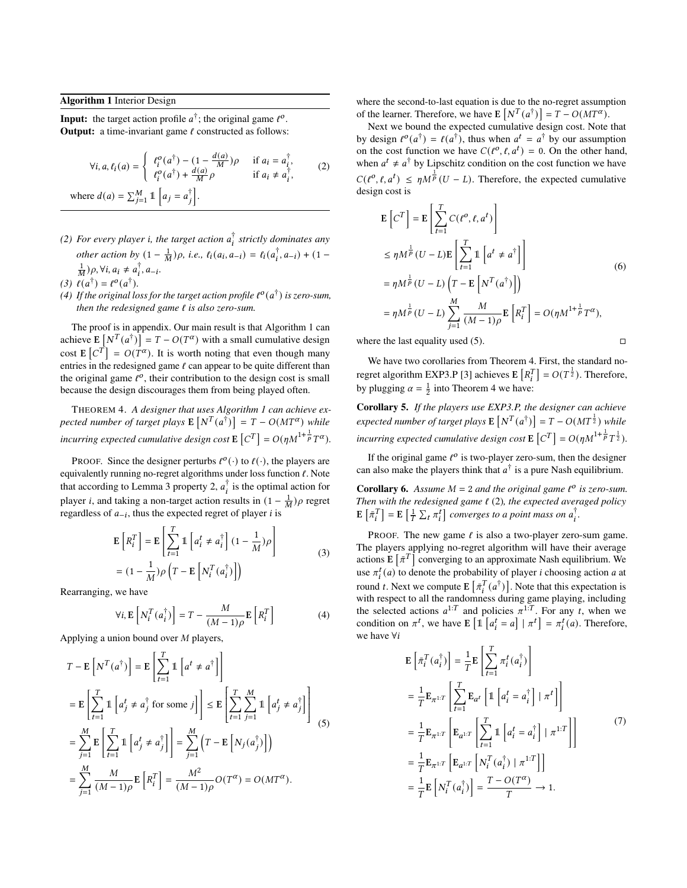#### <span id="page-2-0"></span>Algorithm 1 Interior Design

**Input:** the target action profile  $a^{\dagger}$ ; the original game  $l^{\circ}$ . **Output:** a time-invariant game  $\ell$  constructed as follows:

<span id="page-2-1"></span>
$$
\forall i, a, \ell_i(a) = \begin{cases} \ell_i^o(a^\dagger) - (1 - \frac{d(a)}{M})\rho & \text{if } a_i = a_i^\dagger, \\ \ell_i^o(a^\dagger) + \frac{d(a)}{M}\rho & \text{if } a_i \neq a_i^\dagger, \end{cases}
$$
  
where  $d(a) = \sum_{j=1}^M \mathbb{1} \left[ a_j = a_j^\dagger \right]$ . (2)

<span id="page-2-2"></span>(2) For every player *i*, the target action  $a_i^{\dagger}$  strictly dominates any *other action by*  $(1 - \frac{1}{M})\rho$ , *i.e.*,  $\ell_i(a_i, a_{-i}) = \ell_i(a_i^{\dagger}, a_{-i}) + (1 - \frac{1}{M})\rho$  $\frac{1}{M}$ ) $\rho$ ,  $\forall i$ ,  $a_i \neq a_i^{\dagger}$ ,  $a_{-i}$ .

(3)  $\ell(a^{\dagger}) = \ell^{o}(a^{\dagger}).$ 

<span id="page-2-5"></span>(4) If the original loss for the target action profile  $\ell^o(a^{\dagger})$  is zero-sum, *then the redesigned game ℓ is also zero-sum.* 

The proof is in appendix. Our main result is that Algorithm [1](#page-2-0) can achieve  $E[N^T(a^{\dagger})] = T - O(T^{\alpha})$  with a small cumulative design cost  $\mathbf{E}\left[C^T\right] = O(T^{\alpha})$ . It is worth noting that even though many entries in the redesigned game  $\ell$  can appear to be quite different than the original game  $\ell^{\circ}$ , their contribution to the design cost is small because the design discourages them from being played often.

<span id="page-2-4"></span>THEOREM 4. *A designer that uses Algorithm [1](#page-2-0) can achieve ex*pected number of target plays  $E[N^T(a^{\dagger})] = T - O(MT^{\alpha})$  while *incurring expected cumulative design cost*  $E\left[C^T\right] = O(\eta M^{1+\frac{1}{p}}T^{\alpha})$ .

PROOF. Since the designer perturbs  $\ell^0(\cdot)$  to  $\ell(\cdot)$ , the players are equivalently running no-regret algorithms under loss function ℓ. Note that according to Lemma [3](#page-1-1) property [2,](#page-2-2)  $a_i^{\dagger}$  is the optimal action for player *i*, and taking a non-target action results in  $(1 - \frac{1}{M})\rho$  regret regardless of  $a_{-i}$ , thus the expected regret of player *i* is

$$
\mathbf{E}\left[R_i^T\right] = \mathbf{E}\left[\sum_{t=1}^T \mathbb{1}\left[a_i^t \neq a_i^{\dagger}\right](1 - \frac{1}{M})\rho\right]
$$
\n
$$
= (1 - \frac{1}{M})\rho \left(T - \mathbf{E}\left[N_i^T(a_i^{\dagger})\right]\right)
$$
\n(3)

Rearranging, we have

$$
\forall i, \mathbf{E} \left[ N_i^T(a_i^{\dagger}) \right] = T - \frac{M}{(M-1)\rho} \mathbf{E} \left[ R_i^T \right] \tag{4}
$$

Applying a union bound over  $M$  players,

<span id="page-2-3"></span>
$$
T - \mathbf{E} \left[ N^{T}(a^{\dagger}) \right] = \mathbf{E} \left[ \sum_{t=1}^{T} \mathbb{1} \left[ a^{t} \neq a^{\dagger} \right] \right]
$$
  
\n
$$
= \mathbf{E} \left[ \sum_{t=1}^{T} \mathbb{1} \left[ a_{j}^{t} \neq a_{j}^{\dagger} \text{ for some } j \right] \right] \leq \mathbf{E} \left[ \sum_{t=1}^{T} \sum_{j=1}^{M} \mathbb{1} \left[ a_{j}^{t} \neq a_{j}^{\dagger} \right] \right]
$$
  
\n
$$
= \sum_{j=1}^{M} \mathbf{E} \left[ \sum_{t=1}^{T} \mathbb{1} \left[ a_{j}^{t} \neq a_{j}^{\dagger} \right] \right] = \sum_{j=1}^{M} \left( T - \mathbf{E} \left[ N_{j}(a_{j}^{\dagger}) \right] \right)
$$
  
\n
$$
= \sum_{j=1}^{M} \frac{M}{(M-1)\rho} \mathbf{E} \left[ R_{i}^{T} \right] = \frac{M^{2}}{(M-1)\rho} O(T^{\alpha}) = O(MT^{\alpha}).
$$
 (5)

where the second-to-last equation is due to the no-regret assumption of the learner. Therefore, we have  $E[N^T(a^{\dagger})] = T - O(MT^{\alpha})$ .

Next we bound the expected cumulative design cost. Note that by design  $\ell^0(a^{\dagger}) = \ell(a^{\dagger})$ , thus when  $a^t = a^{\dagger}$  by our assumption on the cost function we have  $C(\ell^o, \ell, a^t) = 0$ . On the other hand, when  $a^t \neq a^{\dagger}$  by Lipschitz condition on the cost function we have  $C(\ell^o, \ell, a^t) \leq \eta M^{\frac{1}{p}}(U-L)$ . Therefore, the expected cumulative design cost is

$$
\mathbf{E}\left[C^{T}\right] = \mathbf{E}\left[\sum_{t=1}^{T} C(t^{o}, \ell, a^{t})\right]
$$
\n
$$
\leq \eta M^{\frac{1}{p}} (U - L) \mathbf{E}\left[\sum_{t=1}^{T} \mathbb{1}\left[a^{t} \neq a^{\dagger}\right]\right]
$$
\n
$$
= \eta M^{\frac{1}{p}} (U - L) \left(T - \mathbf{E}\left[N^{T}(a^{\dagger})\right]\right)
$$
\n
$$
= \eta M^{\frac{1}{p}} (U - L) \sum_{j=1}^{M} \frac{M}{(M - 1)\rho} \mathbf{E}\left[R_{i}^{T}\right] = O(\eta M^{1 + \frac{1}{p}} T^{\alpha}),
$$
\n(6)

where the last equality used [\(5\)](#page-2-3).  $\Box$ 

We have two corollaries from Theorem [4.](#page-2-4) First, the standard no-regret algorithm EXP3.P [\[3\]](#page-8-12) achieves E  $\left[ R_i^T \right] = O(T^{\frac{1}{2}})$ . Therefore, by plugging  $\alpha = \frac{1}{2}$  into Theorem [4](#page-2-4) we have:

Corollary 5. *If the players use EXP3.P, the designer can achieve expected number of target plays*  $\mathbf{E}\left[N^T(a^{\dagger})\right] = T - O(MT^{\frac{1}{2}})$  *while* incurring expected cumulative design cost  $E\left[C^T\right] = O(\eta M^{1+\frac{1}{p}}T^{\frac{1}{2}})$ .

If the original game  $\ell^0$  is two-player zero-sum, then the designer can also make the players think that  $a^{\dagger}$  is a pure Nash equilibrium.

**Corollary 6.** Assume  $M = 2$  and the original game  $\ell^{\circ}$  is zero-sum. *Then with the redesigned game* ℓ [\(2\)](#page-2-1)*, the expected averaged policy*  $\mathbf{E}\left[\bar{\pi}_i^T\right] = \mathbf{E}\left[\frac{1}{T}\sum_t \pi_i^T\right]$  converges to a point mass on  $a_i^{\dagger}$ .

PROOF. The new game  $\ell$  is also a two-player zero-sum game. The players applying no-regret algorithm will have their average actions  $\mathbf{E} \left[ \bar{\pi}^T \right]$  converging to an approximate Nash equilibrium. We use  $\pi_i^t(a)$  to denote the probability of player *i* choosing action *a* at round *t*. Next we compute **E**  $[\bar{\pi}_i^T(a^{\dagger})]$ . Note that this expectation is with respect to all the randomness during game playing, including the selected actions  $a^{1:T}$  and policies  $\pi^{1:T}$ . For any t, when we condition on  $\pi^t$ , we have E  $\left[\mathbb{1}\left[a_i^t = a\right] | \pi^t\right] = \pi_i^t(a)$ . Therefore, we have ∀i

$$
\mathbf{E}\left[\bar{\pi}_{i}^{T}(a_{i}^{\dagger})\right] = \frac{1}{T}\mathbf{E}\left[\sum_{t=1}^{T}\pi_{i}^{t}(a_{i}^{\dagger})\right]
$$
\n
$$
= \frac{1}{T}\mathbf{E}_{\pi^{1:T}}\left[\sum_{t=1}^{T}\mathbf{E}_{a^{t}}\left[\mathbb{1}\left[a_{i}^{t} = a_{i}^{\dagger}\right] \mid \pi^{t}\right]\right]
$$
\n
$$
= \frac{1}{T}\mathbf{E}_{\pi^{1:T}}\left[\mathbf{E}_{a^{1:T}}\left[\sum_{t=1}^{T}\mathbb{1}\left[a_{i}^{t} = a_{i}^{\dagger}\right] \mid \pi^{1:T}\right]\right]
$$
\n
$$
= \frac{1}{T}\mathbf{E}_{\pi^{1:T}}\left[\mathbf{E}_{a^{1:T}}\left[N_{i}^{T}(a_{i}^{\dagger}) \mid \pi^{1:T}\right]\right]
$$
\n
$$
= \frac{1}{T}\mathbf{E}\left[N_{i}^{T}(a_{i}^{\dagger})\right] = \frac{T - O(T^{\alpha})}{T} \to 1.
$$
\n(7)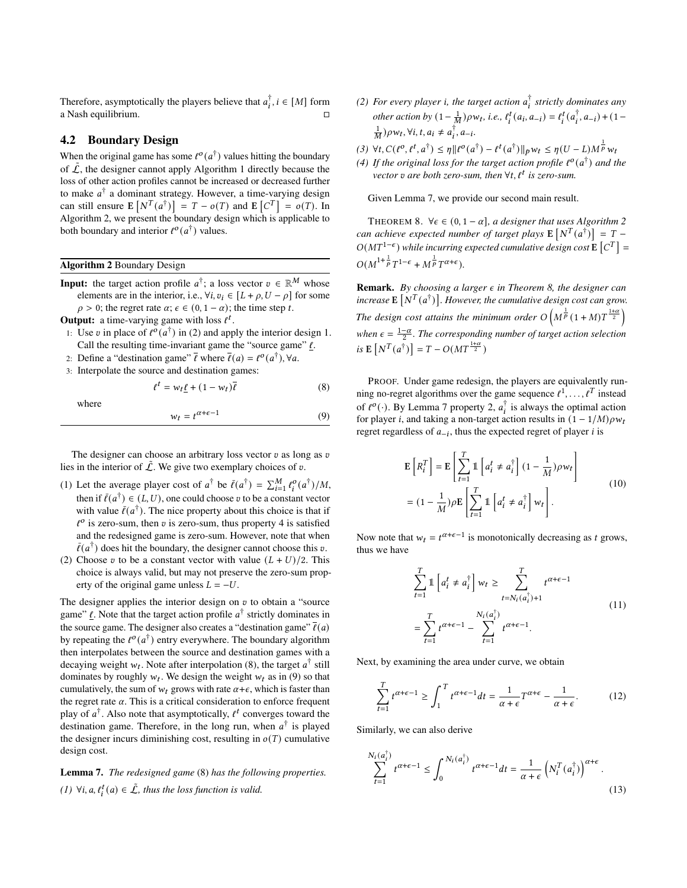Therefore, asymptotically the players believe that  $a_i^{\dagger}$ ,  $i \in [M]$  form a Nash equilibrium.

#### 4.2 Boundary Design

When the original game has some  $\ell^o(a^{\dagger})$  values hitting the boundary of  $\tilde{\mathcal{L}}$ , the designer cannot apply Algorithm [1](#page-2-0) directly because the loss of other action profiles cannot be increased or decreased further to make  $a^{\dagger}$  a dominant strategy. However, a time-varying design can still ensure  $E[N^T(a^{\dagger})] = T - o(T)$  and  $E[C^T] = o(T)$ . In Algorithm [2,](#page-3-0) we present the boundary design which is applicable to both boundary and interior  $\ell^o(a^{\dagger})$  values.

<span id="page-3-0"></span>Algorithm 2 Boundary Design

**Input:** the target action profile  $a^{\dagger}$ ; a loss vector  $v \in \mathbb{R}^M$  whose elements are in the interior, i.e.,  $\forall i, v_i \in [L + \rho, U - \rho]$  for some  $\rho > 0$ ; the regret rate  $\alpha$ ;  $\epsilon \in (0, 1 - \alpha)$ ; the time step t.

**Output:** a time-varying game with loss  $t^t$ .

- 1: Use v in place of  $\ell^{\circ}(\vec{a}^{\dagger})$  in [\(2\)](#page-2-1) and apply the interior design [1.](#page-2-0) Call the resulting time-invariant game the "source game"  $\ell$ .
- 2: Define a "destination game"  $\bar{\ell}$  where  $\bar{\ell}(a) = \ell^{\circ}(a^{\dagger})$ ,  $\forall a$ .
- 3: Interpolate the source and destination games:

<span id="page-3-2"></span>
$$
\ell^t = w_t \underline{\ell} + (1 - w_t)\overline{\ell}
$$
 (8)

where

<span id="page-3-3"></span>
$$
w_t = t^{\alpha + \epsilon - 1} \tag{9}
$$

The designer can choose an arbitrary loss vector  $v$  as long as  $v$ lies in the interior of  $\tilde{\mathcal{L}}$ . We give two exemplary choices of  $v$ .

- (1) Let the average player cost of  $a^{\dagger}$  be  $\bar{\ell}(a^{\dagger}) = \sum_{i=1}^{M} \ell_i^o(a^{\dagger})/M$ , then if  $\bar{\ell}(a^{\dagger}) \in (L, U)$ , one could choose v to be a constant vector with value  $\bar{\ell}(a^{\dagger})$ . The nice property about this choice is that if  $\ell^o$  is zero-sum, then  $v$  is zero-sum, thus property [4](#page-3-1) is satisfied and the redesigned game is zero-sum. However, note that when  $\bar{\ell}(a^{\dagger})$  does hit the boundary, the designer cannot choose this v.
- (2) Choose v to be a constant vector with value  $(L + U)/2$ . This choice is always valid, but may not preserve the zero-sum property of the original game unless  $L = -U$ .

The designer applies the interior design on  $v$  to obtain a "source" game"  $\ell$ . Note that the target action profile  $a^{\dagger}$  strictly dominates in the source game. The designer also creates a "destination game"  $\bar{\ell}(a)$ by repeating the  $\ell^o(a^{\dagger})$  entry everywhere. The boundary algorithm then interpolates between the source and destination games with a decaying weight  $w_t$ . Note after interpolation [\(8\)](#page-3-2), the target  $a^{\dagger}$  still dominates by roughly  $w_t$ . We design the weight  $w_t$  as in [\(9\)](#page-3-3) so that cumulatively, the sum of  $w_t$  grows with rate  $\alpha + \epsilon$ , which is faster than the regret rate  $\alpha$ . This is a critical consideration to enforce frequent play of  $a^{\dagger}$ . Also note that asymptotically,  $\ell^t$  converges toward the destination game. Therefore, in the long run, when  $a^{\dagger}$  is played the designer incurs diminishing cost, resulting in  $o(T)$  cumulative design cost.

<span id="page-3-4"></span>Lemma 7. *The redesigned game* [\(8\)](#page-3-2) *has the following properties.*  $(1) \ \forall i, a, \ell_i^t(a) \in \tilde{L}$ , thus the loss function is valid.

- <span id="page-3-6"></span>(2) For every player *i*, the target action  $a_i^{\dagger}$  strictly dominates any *other action by*  $(1 - \frac{1}{M}) \rho w_t$ , *i.e.*,  $\ell_i^t(a_i, a_{-i}) = \ell_i^t(a_i^{\dagger}, a_{-i}) + (1 - \frac{1}{M}) \rho w_t$  $\frac{1}{M}$ ) $\rho w_t$ ,  $\forall i, t, a_i \neq a_i^{\dagger}, a_{-i}$ .
- <span id="page-3-8"></span> $(3) \ \forall t, C(\ell^o, \ell^t, a^{\dagger}) \leq \eta || \ell^o(a^{\dagger}) - \ell^t(a^{\dagger}) ||_p w_t \leq \eta (U - L) M^{\frac{1}{p}} w_t$
- <span id="page-3-1"></span>(4) If the original loss for the target action profile  $\ell^{\circ}(a^{\dagger})$  and the *vector v* are both zero-sum, then ∀t, *t*<sup>t</sup> is zero-sum.

Given Lemma [7,](#page-3-4) we provide our second main result.

<span id="page-3-5"></span>THEOREM 8.  $\forall \epsilon \in (0, 1 - \alpha]$ , a designer that uses Algorithm [2](#page-3-0) *can achieve expected number of target plays*  $\mathbf{E}\left[N^T(a^{\dagger})\right] = T O(MT^{1-\epsilon})$  while incurring expected cumulative design cost **E**  $[C<sup>T</sup>]$  =  $O(M^{1+\frac{1}{p}}T^{1-\epsilon}+M^{\frac{1}{p}}T^{\alpha+\epsilon}).$ 

Remark. *By choosing a larger in Theorem [8,](#page-3-5) the designer can* increase  $\mathbf{E} \left[ N^T(a^{\dagger}) \right]$ . However, the cumulative design cost can grow. The design cost attains the minimum order  $O(N^{\frac{1}{p}}(1+M)T^{\frac{1+\alpha}{2}})$ when  $\epsilon = \frac{1-\alpha}{2}$ . The corresponding number of target action selection *is* **E**  $[N^T(a^{\dagger})] = T - O(MT^{\frac{1+\alpha}{2}})$ 

PROOF. Under game redesign, the players are equivalently running no-regret algorithms over the game sequence  $\ell^1, \ldots, \ell^T$  instead of  $\ell^o(\cdot)$ . By Lemma [7](#page-3-4) property [2,](#page-3-6)  $a_i^{\dagger}$  is always the optimal action for player *i*, and taking a non-target action results in  $(1 - 1/M)\rho w_t$ regret regardless of  $a_{-i}$ , thus the expected regret of player *i* is

<span id="page-3-7"></span>
$$
\mathbf{E}\left[R_i^T\right] = \mathbf{E}\left[\sum_{t=1}^T \mathbb{1}\left[a_i^t \neq a_i^\dagger\right] (1 - \frac{1}{M}) \rho w_t\right]
$$
\n
$$
= (1 - \frac{1}{M}) \rho \mathbf{E}\left[\sum_{t=1}^T \mathbb{1}\left[a_i^t \neq a_i^\dagger\right] w_t\right].
$$
\n(10)

Now note that  $w_t = t^{\alpha + \epsilon - 1}$  is monotonically decreasing as t grows, thus we have

$$
\sum_{t=1}^{T} \mathbb{1} \left[ a_i^t \neq a_i^{\dagger} \right] w_t \ge \sum_{t=N_i(a_i^{\dagger})+1}^{T} t^{\alpha+\epsilon-1}
$$
\n
$$
= \sum_{t=1}^{T} t^{\alpha+\epsilon-1} - \sum_{t=1}^{N_i(a_i^{\dagger})} t^{\alpha+\epsilon-1}.
$$
\n(11)

Next, by examining the area under curve, we obtain

$$
\sum_{t=1}^{T} t^{\alpha + \epsilon - 1} \ge \int_{1}^{T} t^{\alpha + \epsilon - 1} dt = \frac{1}{\alpha + \epsilon} T^{\alpha + \epsilon} - \frac{1}{\alpha + \epsilon}.
$$
 (12)

Similarly, we can also derive

$$
\sum_{t=1}^{N_i(a_i^{\dagger})} t^{\alpha+\epsilon-1} \leq \int_0^{N_i(a_i^{\dagger})} t^{\alpha+\epsilon-1} dt = \frac{1}{\alpha+\epsilon} \left( N_i^T(a_i^{\dagger}) \right)^{\alpha+\epsilon}.
$$
\n(13)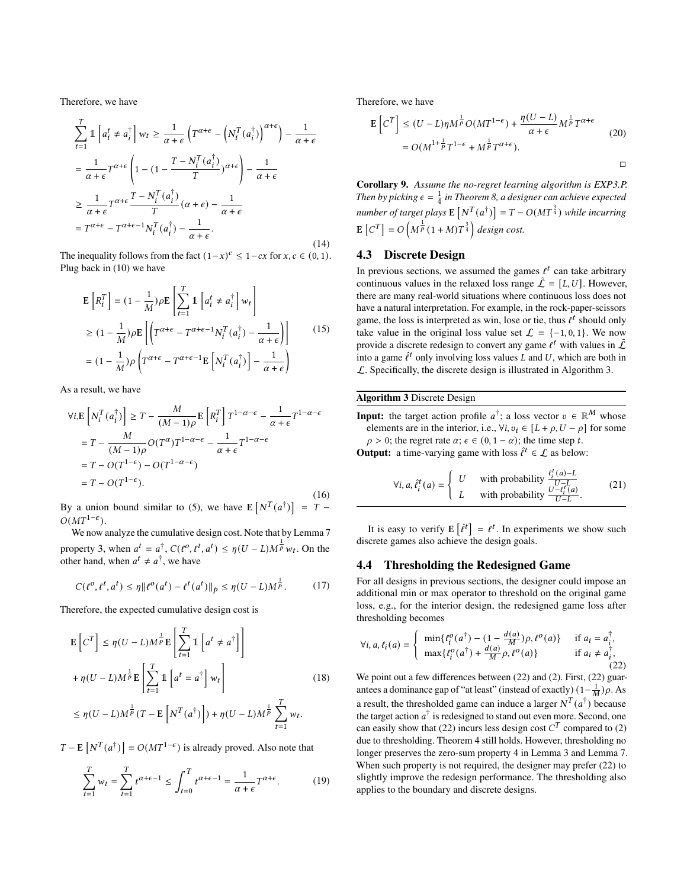Therefore, we have

$$
\sum_{t=1}^{T} \mathbb{1} \left[ a_i^t \neq a_i^{\dagger} \right] w_t \geq \frac{1}{\alpha + \epsilon} \left( T^{\alpha + \epsilon} - \left( N_i^T (a_i^{\dagger}) \right)^{\alpha + \epsilon} \right) - \frac{1}{\alpha + \epsilon}
$$
\n
$$
= \frac{1}{\alpha + \epsilon} T^{\alpha + \epsilon} \left( 1 - \left( 1 - \frac{T - N_i^T (a_i^{\dagger})}{T} \right)^{\alpha + \epsilon} \right) - \frac{1}{\alpha + \epsilon}
$$
\n
$$
\geq \frac{1}{\alpha + \epsilon} T^{\alpha + \epsilon} \frac{T - N_i^T (a_i^{\dagger})}{T} (\alpha + \epsilon) - \frac{1}{\alpha + \epsilon}
$$
\n
$$
= T^{\alpha + \epsilon} - T^{\alpha + \epsilon - 1} N_i^T (a_i^{\dagger}) - \frac{1}{\alpha + \epsilon}.
$$
\n(14)

The inequality follows from the fact  $(1-x)^c \leq 1-cx$  for  $x, c \in (0, 1)$ . Plug back in [\(10\)](#page-3-7) we have

$$
\mathbf{E}\left[R_i^T\right] = (1 - \frac{1}{M})\rho \mathbf{E}\left[\sum_{t=1}^T \mathbb{1}\left[a_i^t \neq a_i^{\dagger}\right] w_t\right]
$$
\n
$$
\geq (1 - \frac{1}{M})\rho \mathbf{E}\left[\left(T^{\alpha + \epsilon} - T^{\alpha + \epsilon - 1} N_i^T (a_i^{\dagger}) - \frac{1}{\alpha + \epsilon}\right)\right]
$$
\n
$$
= (1 - \frac{1}{M})\rho \left(T^{\alpha + \epsilon} - T^{\alpha + \epsilon - 1} \mathbf{E}\left[N_i^T (a_i^{\dagger})\right] - \frac{1}{\alpha + \epsilon}\right)
$$
\n(15)

As a result, we have

$$
\forall i, \mathbf{E} \left[ N_i^T(a_i^{\dagger}) \right] \ge T - \frac{M}{(M-1)\rho} \mathbf{E} \left[ R_i^T \right] T^{1-\alpha-\epsilon} - \frac{1}{\alpha+\epsilon} T^{1-\alpha-\epsilon}
$$
  

$$
= T - \frac{M}{(M-1)\rho} O(T^{\alpha}) T^{1-\alpha-\epsilon} - \frac{1}{\alpha+\epsilon} T^{1-\alpha-\epsilon}
$$
  

$$
= T - O(T^{1-\epsilon}) - O(T^{1-\alpha-\epsilon})
$$
  

$$
= T - O(T^{1-\epsilon}). \tag{16}
$$

By a union bound similar to [\(5\)](#page-2-3), we have  $E[N^T(a^{\dagger})] = T O(MT^{1-\epsilon}).$ 

We now analyze the cumulative design cost. Note that by Lemma [7](#page-3-4) property [3,](#page-3-8) when  $a^t = a^{\dagger}$ ,  $C(\ell^o, \ell^t, a^t) \leq \eta (U - L) M^{\frac{1}{p}} w_t$ . On the other hand, when  $a^t \neq a^{\dagger}$ , we have

$$
C(\ell^o, \ell^t, a^t) \le \eta \| \ell^o(a^t) - \ell^t(a^t) \|_p \le \eta (U - L) M^{\frac{1}{p}}.
$$
 (17)

Therefore, the expected cumulative design cost is

$$
\mathbf{E}\left[C^{T}\right] \leq \eta(U-L)M^{\frac{1}{p}}\mathbf{E}\left[\sum_{t=1}^{T}\mathbb{1}\left[a^{t} \neq a^{\dagger}\right]\right]
$$

$$
+ \eta(U-L)M^{\frac{1}{p}}\mathbf{E}\left[\sum_{t=1}^{T}\mathbb{1}\left[a^{t} = a^{\dagger}\right]w_{t}\right]
$$

$$
\leq \eta(U-L)M^{\frac{1}{p}}(T-\mathbf{E}\left[N^{T}(a^{\dagger})\right]) + \eta(U-L)M^{\frac{1}{p}}\sum_{t=1}^{T}w_{t}.
$$
(18)

 $T - E[N^{T}(a^{\dagger})] = O(MT^{1-\epsilon})$  is already proved. Also note that

$$
\sum_{t=1}^{T} w_t = \sum_{t=1}^{T} t^{\alpha + \epsilon - 1} \le \int_{t=0}^{T} t^{\alpha + \epsilon - 1} = \frac{1}{\alpha + \epsilon} T^{\alpha + \epsilon}.
$$
 (19)

Therefore, we have

$$
\mathbf{E}\left[C^{T}\right] \leq (U-L)\eta M^{\frac{1}{p}}O(MT^{1-\epsilon}) + \frac{\eta(U-L)}{\alpha+\epsilon}M^{\frac{1}{p}}T^{\alpha+\epsilon}
$$
\n
$$
= O(M^{1+\frac{1}{p}}T^{1-\epsilon} + M^{\frac{1}{p}}T^{\alpha+\epsilon}).
$$
\n
$$
\Box
$$

Corollary 9. *Assume the no-regret learning algorithm is EXP3.P.* Then by picking  $\epsilon = \frac{1}{4}$  in Theorem [8,](#page-3-5) a designer can achieve expected  $number\ of\ target\ plays\ \mathbf{E}\left[N^T(a^\dagger)\right] = T - O(MT^{\frac{3}{4}})$  while incurring  $\mathbb{E}\left[C^T\right] = O\left(M^{\frac{1}{p}}(1+M)T^{\frac{3}{4}}\right)$  design cost.

#### <span id="page-4-0"></span>4.3 Discrete Design

In previous sections, we assumed the games  $l^t$  can take arbitrary continuous values in the relaxed loss range  $\tilde{\mathcal{L}} = [L, U]$ . However, there are many real-world situations where continuous loss does not have a natural interpretation. For example, in the rock-paper-scissors game, the loss is interpreted as win, lose or tie, thus  $t^t$  should only take value in the original loss value set  $\mathcal{L} = \{-1, 0, 1\}$ . We now provide a discrete redesign to convert any game  $\hat{t}^t$  with values in  $\tilde{\mathcal{L}}$ into a game  $\hat{\ell}^t$  only involving loss values L and U, which are both in  $\mathcal{L}$ . Specifically, the discrete design is illustrated in Algorithm [3.](#page-4-1)

#### <span id="page-4-1"></span>Algorithm 3 Discrete Design

**Input:** the target action profile  $a^{\dagger}$ ; a loss vector  $v \in \mathbb{R}^{M}$  whose elements are in the interior, i.e.,  $\forall i, v_i \in [L + \rho, U - \rho]$  for some  $\rho > 0$ ; the regret rate  $\alpha$ ;  $\epsilon \in (0, 1 - \alpha)$ ; the time step t. **Output:** a time-varying game with loss  $\hat{\ell}^t \in \mathcal{L}$  as below:

$$
\forall i, a, \hat{\ell}_i^t(a) = \begin{cases} U & \text{with probability } \frac{\ell_i^t(a) - L}{U - L} \\ L & \text{with probability } \frac{U - \ell_i^t(a)}{U - L} \end{cases}
$$
 (21)

It is easy to verify  $E[\hat{\ell}^t] = \ell^t$ . In experiments we show such discrete games also achieve the design goals.

#### 4.4 Thresholding the Redesigned Game

For all designs in previous sections, the designer could impose an additional min or max operator to threshold on the original game loss, e.g., for the interior design, the redesigned game loss after thresholding becomes

<span id="page-4-2"></span>
$$
\forall i, a, \ell_i(a) = \begin{cases} \min\{\ell_i^o(a^{\dagger}) - (1 - \frac{d(a)}{M})\rho, \ell^o(a)\} & \text{if } a_i = a_i^{\dagger}, \\ \max\{\ell_i^o(a^{\dagger}) + \frac{d(a)}{M}\rho, \ell^o(a)\} & \text{if } a_i \neq a_i^{\dagger}, \end{cases}
$$
(22)

We point out a few differences between [\(22\)](#page-4-2) and [\(2\)](#page-2-1). First, (22) guarantees a dominance gap of "at least" (instead of exactly)  $(1-\frac{1}{M})\rho$ . As a result, the thresholded game can induce a larger  $N^T(a^{\dagger})$  because the target action  $a^{\dagger}$  is redesigned to stand out even more. Second, one can easily show that [\(22\)](#page-4-2) incurs less design cost  $C<sup>T</sup>$  compared to [\(2\)](#page-2-1) due to thresholding. Theorem [4](#page-2-4) still holds. However, thresholding no longer preserves the zero-sum property [4](#page-2-5) in Lemma [3](#page-1-1) and Lemma [7.](#page-3-4) When such property is not required, the designer may prefer [\(22\)](#page-4-2) to slightly improve the redesign performance. The thresholding also applies to the boundary and discrete designs.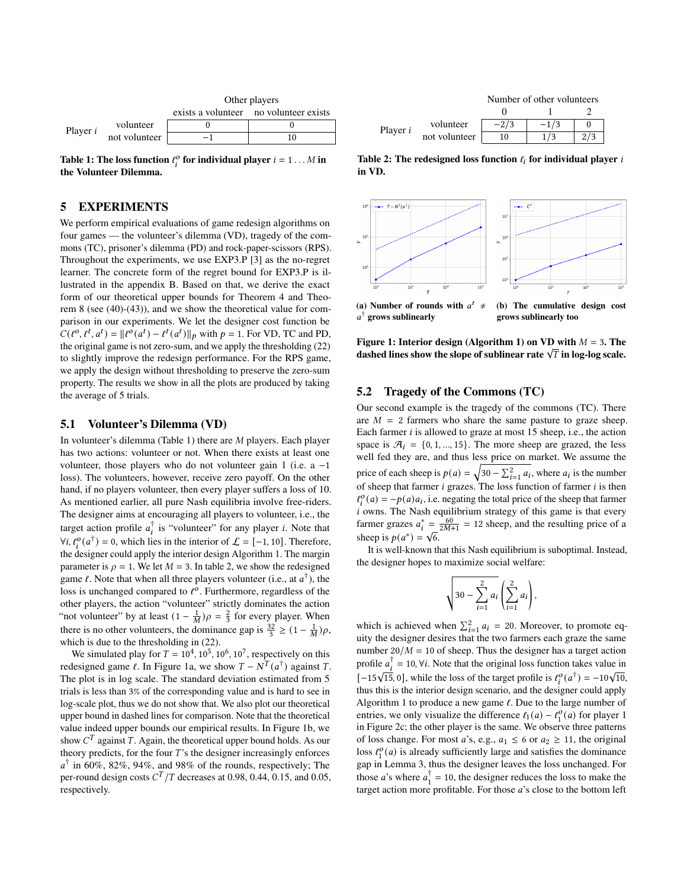<span id="page-5-0"></span>

Table 1: The loss function  $l_i^o$  for individual player  $i = 1 \dots M$  in the Volunteer Dilemma.

#### 5 EXPERIMENTS

We perform empirical evaluations of game redesign algorithms on four games — the volunteer's dilemma (VD), tragedy of the commons (TC), prisoner's dilemma (PD) and rock-paper-scissors (RPS). Throughout the experiments, we use EXP3.P [\[3\]](#page-8-12) as the no-regret learner. The concrete form of the regret bound for EXP3.P is illustrated in the appendix [B.](#page-10-0) Based on that, we derive the exact form of our theoretical upper bounds for Theorem [4](#page-2-4) and Theorem [8](#page-3-5) (see [\(40\)](#page-10-1)-[\(43\)](#page-10-2)), and we show the theoretical value for comparison in our experiments. We let the designer cost function be  $C(\ell^o, \ell^t, a^t) = ||\ell^o(a^t) - \ell^t(a^t)||_p$  with  $p = 1$ . For VD, TC and PD, the original game is not zero-sum, and we apply the thresholding [\(22\)](#page-4-2) to slightly improve the redesign performance. For the RPS game, we apply the design without thresholding to preserve the zero-sum property. The results we show in all the plots are produced by taking the average of 5 trials.

#### 5.1 Volunteer's Dilemma (VD)

In volunteer's dilemma (Table [1\)](#page-5-0) there are  $M$  players. Each player has two actions: volunteer or not. When there exists at least one volunteer, those players who do not volunteer gain 1 (i.e. a −1 loss). The volunteers, however, receive zero payoff. On the other hand, if no players volunteer, then every player suffers a loss of 10. As mentioned earlier, all pure Nash equilibria involve free-riders. The designer aims at encouraging all players to volunteer, i.e., the target action profile  $a_i^{\dagger}$  is "volunteer" for any player *i*. Note that  $\forall i, \ell_i^0(a^{\dagger}) = 0$ , which lies in the interior of  $\mathcal{L} = [-1, 10]$ . Therefore, the designer could apply the interior design Algorithm [1.](#page-2-0) The margin parameter is  $\rho = 1$ . We let  $M = 3$ . In table [2,](#page-5-0) we show the redesigned game  $\ell$ . Note that when all three players volunteer (i.e., at  $a^{\dagger}$ ), the loss is unchanged compared to  $t^0$ . Furthermore, regardless of the other players, the action "volunteer" strictly dominates the action "not volunteer" by at least  $(1 - \frac{1}{M})\rho = \frac{2}{3}$  for every player. When there is no other volunteers, the dominance gap is  $\frac{32}{3} \ge (1 - \frac{1}{M})\rho$ , which is due to the thresholding in [\(22\)](#page-4-2).

We simulated play for  $T = 10^4, 10^5, 10^6, 10^7$ , respectively on this redesigned game  $\ell$ . In Figure [1a,](#page-5-1) we show  $T - N^{T}(a^{\dagger})$  against T. The plot is in log scale. The standard deviation estimated from 5 trials is less than 3% of the corresponding value and is hard to see in log-scale plot, thus we do not show that. We also plot our theoretical upper bound in dashed lines for comparison. Note that the theoretical value indeed upper bounds our empirical results. In Figure [1b,](#page-5-1) we show  $C^T$  against T. Again, the theoretical upper bound holds. As our theory predicts, for the four  $T$ 's the designer increasingly enforces  $a^{\dagger}$  in 60%, 82%, 94%, and 98% of the rounds, respectively; The per-round design costs  $C^T/T$  decreases at 0.98, 0.44, 0.15, and 0.05, respectively.

|                 |               | Number of other volunteers |        |  |  |  |  |
|-----------------|---------------|----------------------------|--------|--|--|--|--|
|                 |               |                            |        |  |  |  |  |
| Player <i>i</i> | volunteer     | $-2/3$                     | $-1/3$ |  |  |  |  |
|                 | not volunteer | 10.                        |        |  |  |  |  |

Table 2: The redesigned loss function  $l_i$  for individual player i in VD.

<span id="page-5-1"></span>

Figure 1: Interior design (Algorithm [1\)](#page-2-0) on VD with  $M = 3$ . The rigure 1: Interior design (Algorithm 1) on VD with  $M = 3$ . The<br>dashed lines show the slope of sublinear rate  $\sqrt{T}$  in log-log scale.

#### 5.2 Tragedy of the Commons (TC)

Our second example is the tragedy of the commons (TC). There are  $M = 2$  farmers who share the same pasture to graze sheep. Each farmer  $i$  is allowed to graze at most 15 sheep, i.e., the action space is  $\mathcal{A}_i = \{0, 1, ..., 15\}$ . The more sheep are grazed, the less well fed they are, and thus less price on market. We assume the price of each sheep is  $p(a) = \sqrt{30 - \sum_{i=1}^{2} a_i}$ , where  $a_i$  is the number of sheep that farmer  $i$  grazes. The loss function of farmer  $i$  is then  $\ell_i^o(a) = -p(a)a_i$ , i.e. negating the total price of the sheep that farmer  $i$  owns. The Nash equilibrium strategy of this game is that every farmer grazes  $a_i^* = \frac{60}{2M+1} = 12$  sheep, and the resulting price of a sheep is  $p(a^*) = \sqrt{6}$ .

It is well-known that this Nash equilibrium is suboptimal. Instead, the designer hopes to maximize social welfare:

$$
\sqrt{30-\sum_{i=1}^2 a_i}\left(\sum_{i=1}^2 a_i\right),\,
$$

which is achieved when  $\sum_{i=1}^{2} a_i = 20$ . Moreover, to promote equity the designer desires that the two farmers each graze the same number  $20/M = 10$  of sheep. Thus the designer has a target action profile  $a_i^{\dagger} = 10$ ,  $\forall i$ . Note that the original loss function takes value in From  $a_i = 10, \forall i$ . Note that the original loss function takes value in  $[-15\sqrt{15}, 0]$ , while the loss of the target profile is  $\ell_i^0(a^{\dagger}) = -10\sqrt{10}$ , thus this is the interior design scenario, and the designer could apply Algorithm [1](#page-2-0) to produce a new game  $\ell$ . Due to the large number of entries, we only visualize the difference  $\ell_1(a) - \ell_1^o$  $n<sub>1</sub><sup>0</sup>(a)$  for player 1 in Figure [2c;](#page-6-0) the other player is the same. We observe three patterns of loss change. For most *a*'s, e.g.,  $a_1 \leq 6$  or  $a_2 \geq 11$ , the original  $\cos \ell_1^o$  $\binom{10}{1}$  (*a*) is already sufficiently large and satisfies the dominance gap in Lemma [3,](#page-1-1) thus the designer leaves the loss unchanged. For those *a*'s where  $a_1^{\dagger}$  $\frac{1}{1}$  = 10, the designer reduces the loss to make the target action more profitable. For those  $a$ 's close to the bottom left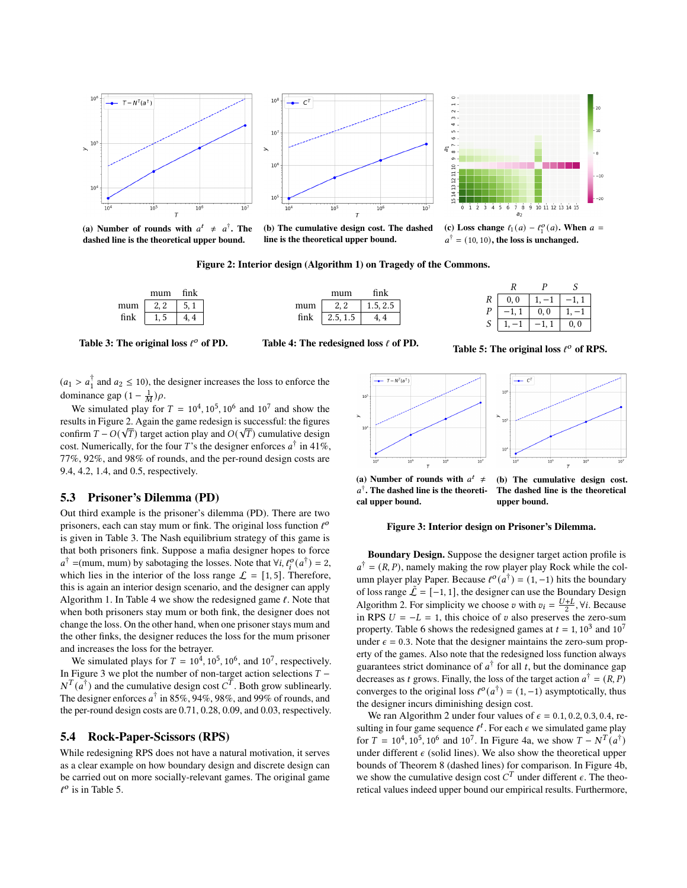<span id="page-6-0"></span>

<span id="page-6-1"></span>(a) Number of rounds with  $a^t \neq a^{\dagger}$ . The dashed line is the theoretical upper bound.



(b) The cumulative design cost. The dashed line is the theoretical upper bound.



(c) Loss change  $\ell_1(a) - \ell_1^o(a)$ . When  $a =$  $a^{\dagger} = (10, 10)$ , the loss is unchanged.

 $R$   $P$   $S$  $R \begin{bmatrix} 0, 0 \\ 1, -1 \\ -1, 1 \end{bmatrix}$  $P \begin{array}{|c|c|c|c|c|} \hline -1, 1 & 0, 0 & 1, -1 \end{array}$ 

Figure 2: Interior design (Algorithm [1\)](#page-2-0) on Tragedy of the Commons.

|      | mum  | fink |      | mum      | fink     |
|------|------|------|------|----------|----------|
| mum  | 2, 2 | 5,   | mum  | 2, 2     | 1.5, 2.5 |
| fink | 1, 5 | 4.   | fink | 2.5, 1.5 |          |





 $(a_1 > a_1^{\dagger})$  $\frac{1}{1}$  and  $a_2 \le 10$ ), the designer increases the loss to enforce the dominance gap  $(1 - \frac{1}{M})\rho$ .

We simulated play for  $T = 10^4, 10^5, 10^6$  and  $10^7$  and show the results in Figure [2.](#page-6-0) Again the game redesign is successful: the figures confirm  $T - O(\sqrt{T})$  target action play and  $O(\sqrt{T})$  cumulative design cost. Numerically, for the four T's the designer enforces  $a^{\dagger}$  in 41%, 77%, 92%, and 98% of rounds, and the per-round design costs are 9.4, 4.2, 1.4, and 0.5, respectively.

#### 5.3 Prisoner's Dilemma (PD)

Out third example is the prisoner's dilemma (PD). There are two prisoners, each can stay mum or fink. The original loss function  $\ell^o$ is given in Table [3.](#page-6-1) The Nash equilibrium strategy of this game is that both prisoners fink. Suppose a mafia designer hopes to force  $a^{\dagger}$  =(mum, mum) by sabotaging the losses. Note that  $\forall i, \ell_i^o(a^{\dagger}) = 2$ , which lies in the interior of the loss range  $\mathcal{L} = [1, 5]$ . Therefore, this is again an interior design scenario, and the designer can apply Algorithm [1.](#page-2-0) In Table [4](#page-6-1) we show the redesigned game  $\ell$ . Note that when both prisoners stay mum or both fink, the designer does not change the loss. On the other hand, when one prisoner stays mum and the other finks, the designer reduces the loss for the mum prisoner and increases the loss for the betrayer.

We simulated plays for  $T = 10^4, 10^5, 10^6$ , and  $10^7$ , respectively. In Figure [3](#page-6-2) we plot the number of non-target action selections  $T N^T(\vec{a}^{\dagger})$  and the cumulative design cost  $C^T$ . Both grow sublinearly. The designer enforces  $a^{\dagger}$  in 85%, 94%, 98%, and 99% of rounds, and the per-round design costs are 0.71, 0.28, 0.09, and 0.03, respectively.

#### 5.4 Rock-Paper-Scissors (RPS)

While redesigning RPS does not have a natural motivation, it serves as a clear example on how boundary design and discrete design can be carried out on more socially-relevant games. The original game  $\ell^o$  is in Table [5.](#page-6-1)



<span id="page-6-2"></span>

(a) Number of rounds with  $a^t \neq$  $a^{\dagger}$ . The dashed line is the theoretical upper bound.

(b) The cumulative design cost. The dashed line is the theoretical upper bound.

#### Figure 3: Interior design on Prisoner's Dilemma.

Boundary Design. Suppose the designer target action profile is  $a^{\dagger} = (R, P)$ , namely making the row player play Rock while the column player play Paper. Because  $\ell^o(a^{\dagger}) = (1, -1)$  hits the boundary of loss range  $\tilde{\mathcal{L}} = [-1, 1]$ , the designer can use the Boundary Design Algorithm [2.](#page-3-0) For simplicity we choose v with  $v_i = \frac{U+L}{2}$ ,  $\forall i$ . Because in RPS  $U = -L = 1$ , this choice of  $v$  also preserves the zero-sum property. Table [6](#page-7-0) shows the redesigned games at  $t = 1, 10^3$  and  $10^7$ under  $\epsilon$  = 0.3. Note that the designer maintains the zero-sum property of the games. Also note that the redesigned loss function always guarantees strict dominance of  $a^{\dagger}$  for all t, but the dominance gap decreases as *t* grows. Finally, the loss of the target action  $a^{\dagger} = (R, P)$ converges to the original loss  $t^{\circ}(a^{\dagger}) = (1, -1)$  asymptotically, thus the designer incurs diminishing design cost.

We ran Algorithm [2](#page-3-0) under four values of  $\epsilon = 0.1, 0.2, 0.3, 0.4$ , resulting in four game sequence  $l^t$ . For each  $\epsilon$  we simulated game play for  $T = 10^4, 10^5, 10^6$  and  $10^7$ . In Figure [4a,](#page-7-1) we show  $T - N^T(a^{\dagger})$ under different  $\epsilon$  (solid lines). We also show the theoretical upper bounds of Theorem [8](#page-3-5) (dashed lines) for comparison. In Figure [4b,](#page-7-1) we show the cumulative design cost  $C<sup>T</sup>$  under different  $\epsilon$ . The theoretical values indeed upper bound our empirical results. Furthermore,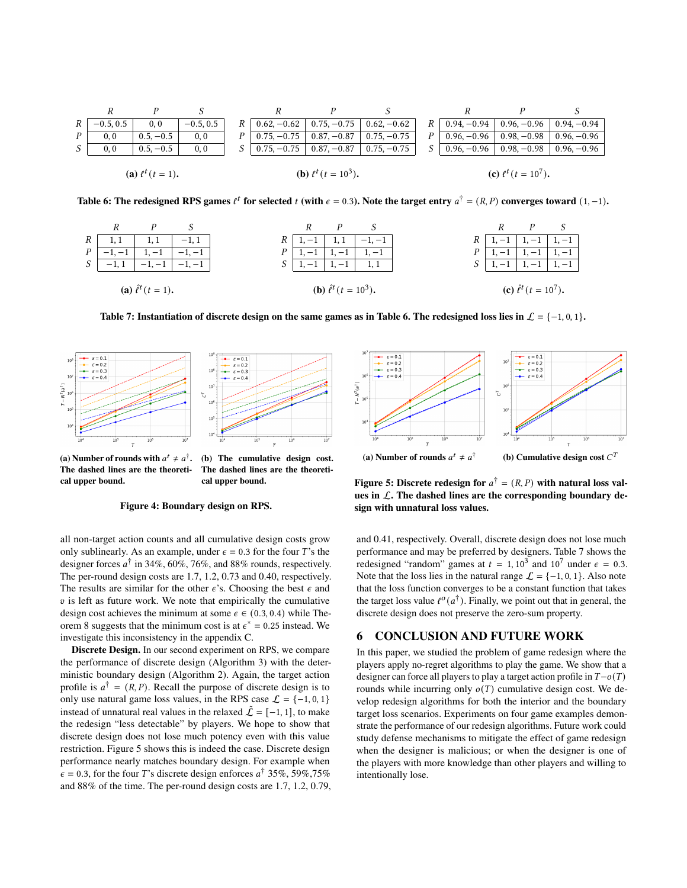<span id="page-7-0"></span>

|   | $R$   $-0.5$ , 0.5   | 0, 0        | $-0.5, 0.5$ |  | $R$   0.62, -0.62   0.75, -0.75       |                                             | $0.62, -0.62$ | R <sub>1</sub> | $\vert$ 0.94, -0.94 $\vert$ 0.96, -0.96 $\vert$ 0.94, -0.94   |  |
|---|----------------------|-------------|-------------|--|---------------------------------------|---------------------------------------------|---------------|----------------|---------------------------------------------------------------|--|
| P | 0.0                  | $0.5, -0.5$ | 0, 0        |  | $P \mid 0.75, -0.75 \mid 0.87, -0.87$ |                                             | $0.75, -0.75$ | P              | $0.96, -0.96$   0.98, $-0.98$   0.96, $-0.96$                 |  |
|   | 0.0                  | $0.5, -0.5$ | 0, 0        |  | $S$   0.75, -0.75   0.87, -0.87       |                                             | $0.75, -0.75$ | S              | $\vert 0.96, -0.96 \vert 0.98, -0.98 \vert 0.96, -0.96 \vert$ |  |
|   | (a) $l^{t}(t = 1)$ . |             |             |  |                                       | <b>(b)</b> $\ell^t$ (t = 10 <sup>3</sup> ). |               |                | (c) $\ell^t$ (t = 10 <sup>7</sup> ).                          |  |

Table 6: The redesigned RPS games  $\ell^t$  for selected  $t$  (with  $\epsilon = 0.3$ ). Note the target entry  $a^\dagger = (R, P)$  converges toward  $(1, -1)$ .

<span id="page-7-2"></span>

Table 7: Instantiation of discrete design on the same games as in Table [6.](#page-7-0) The redesigned loss lies in  $\mathcal{L} = \{-1, 0, 1\}$ .

<span id="page-7-1"></span>

The dashed lines are the theoretical upper bound.

(b) The cumulative design cost. The dashed lines are the theoretical upper bound.



all non-target action counts and all cumulative design costs grow only sublinearly. As an example, under  $\epsilon = 0.3$  for the four T's the designer forces  $a^{\dagger}$  in 34%, 60%, 76%, and 88% rounds, respectively. The per-round design costs are 1.7, 1.2, 0.73 and 0.40, respectively. The results are similar for the other  $\epsilon$ 's. Choosing the best  $\epsilon$  and  $v$  is left as future work. We note that empirically the cumulative design cost achieves the minimum at some  $\epsilon \in (0.3, 0.4)$  while The-orem [8](#page-3-5) suggests that the minimum cost is at  $\epsilon^* = 0.25$  instead. We investigate this inconsistency in the appendix [C.](#page-10-3)

Discrete Design. In our second experiment on RPS, we compare the performance of discrete design (Algorithm [3\)](#page-4-1) with the deterministic boundary design (Algorithm [2\)](#page-3-0). Again, the target action profile is  $a^{\dagger} = (R, P)$ . Recall the purpose of discrete design is to only use natural game loss values, in the RPS case  $\mathcal{L} = \{-1, 0, 1\}$ instead of unnatural real values in the relaxed  $\mathcal{\tilde{L}} = [-1, 1]$ , to make the redesign "less detectable" by players. We hope to show that discrete design does not lose much potency even with this value restriction. Figure [5](#page-7-1) shows this is indeed the case. Discrete design performance nearly matches boundary design. For example when  $\epsilon$  = 0.3, for the four *T*'s discrete design enforces  $a^{\dagger}$  35%, 59%, 75% and 88% of the time. The per-round design costs are 1.7, 1.2, 0.79,

Figure 5: Discrete redesign for  $a^{\dagger} = (R, P)$  with natural loss values in  $\mathcal{L}$ . The dashed lines are the corresponding boundary design with unnatural loss values.

and 0.41, respectively. Overall, discrete design does not lose much performance and may be preferred by designers. Table [7](#page-7-2) shows the redesigned "random" games at  $t = 1, 10^3$  and  $10^7$  under  $\epsilon = 0.3$ . Note that the loss lies in the natural range  $\mathcal{L} = \{-1, 0, 1\}$ . Also note that the loss function converges to be a constant function that takes the target loss value  $\ell^{\circ}(a^{\dagger})$ . Finally, we point out that in general, the discrete design does not preserve the zero-sum property.

## 6 CONCLUSION AND FUTURE WORK

In this paper, we studied the problem of game redesign where the players apply no-regret algorithms to play the game. We show that a designer can force all players to play a target action profile in  $T - o(T)$ rounds while incurring only  $o(T)$  cumulative design cost. We develop redesign algorithms for both the interior and the boundary target loss scenarios. Experiments on four game examples demonstrate the performance of our redesign algorithms. Future work could study defense mechanisms to mitigate the effect of game redesign when the designer is malicious; or when the designer is one of the players with more knowledge than other players and willing to intentionally lose.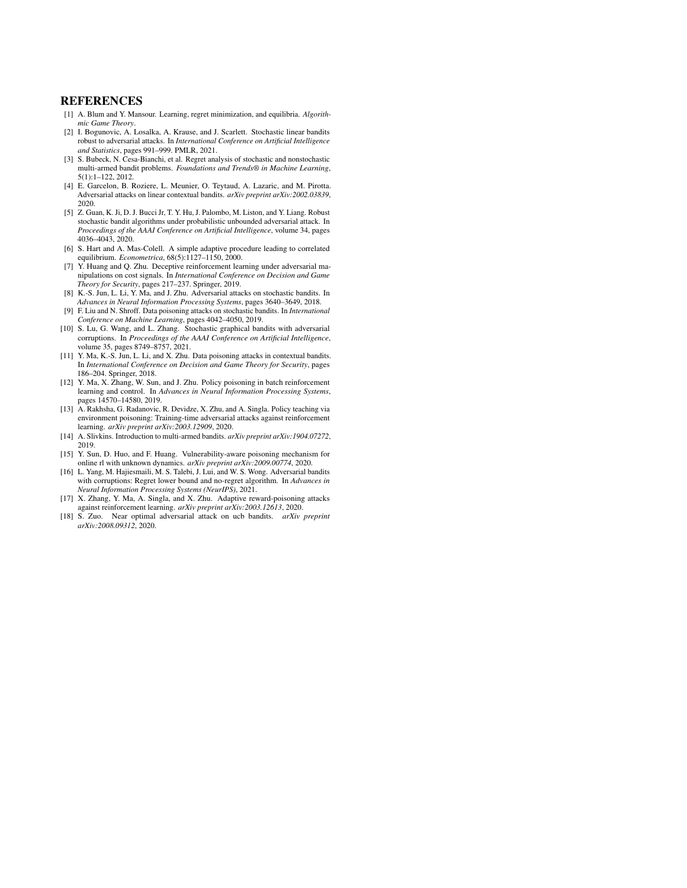## **REFERENCES**

- <span id="page-8-13"></span>[1] A. Blum and Y. Mansour. Learning, regret minimization, and equilibria. *Algorithmic Game Theory*.
- <span id="page-8-0"></span>[2] I. Bogunovic, A. Losalka, A. Krause, and J. Scarlett. Stochastic linear bandits robust to adversarial attacks. In *International Conference on Artificial Intelligence and Statistics*, pages 991–999. PMLR, 2021.
- <span id="page-8-12"></span>[3] S. Bubeck, N. Cesa-Bianchi, et al. Regret analysis of stochastic and nonstochastic multi-armed bandit problems. *Foundations and Trends® in Machine Learning*, 5(1):1–122, 2012.
- <span id="page-8-1"></span>[4] E. Garcelon, B. Roziere, L. Meunier, O. Teytaud, A. Lazaric, and M. Pirotta. Adversarial attacks on linear contextual bandits. *arXiv preprint arXiv:2002.03839*, 2020.
- <span id="page-8-2"></span>[5] Z. Guan, K. Ji, D. J. Bucci Jr, T. Y. Hu, J. Palombo, M. Liston, and Y. Liang. Robust stochastic bandit algorithms under probabilistic unbounded adversarial attack. In *Proceedings of the AAAI Conference on Artificial Intelligence*, volume 34, pages 4036–4043, 2020.
- <span id="page-8-14"></span>[6] S. Hart and A. Mas-Colell. A simple adaptive procedure leading to correlated equilibrium. *Econometrica*, 68(5):1127–1150, 2000.
- <span id="page-8-7"></span>[7] Y. Huang and Q. Zhu. Deceptive reinforcement learning under adversarial manipulations on cost signals. In *International Conference on Decision and Game Theory for Security*, pages 217–237. Springer, 2019.
- <span id="page-8-3"></span>[8] K.-S. Jun, L. Li, Y. Ma, and J. Zhu. Adversarial attacks on stochastic bandits. In *Advances in Neural Information Processing Systems*, pages 3640–3649, 2018. [9] F. Liu and N. Shroff. Data poisoning attacks on stochastic bandits. In *International*
- *Conference on Machine Learning*, pages 4042–4050, 2019.
- [10] S. Lu, G. Wang, and L. Zhang. Stochastic graphical bandits with adversarial corruptions. In *Proceedings of the AAAI Conference on Artificial Intelligence*, volume 35, pages 8749–8757, 2021.
- <span id="page-8-4"></span>[11] Y. Ma, K.-S. Jun, L. Li, and X. Zhu. Data poisoning attacks in contextual bandits. In *International Conference on Decision and Game Theory for Security*, pages 186–204. Springer, 2018.
- <span id="page-8-8"></span>[12] Y. Ma, X. Zhang, W. Sun, and J. Zhu. Policy poisoning in batch reinforcement learning and control. In *Advances in Neural Information Processing Systems*, pages 14570–14580, 2019.
- <span id="page-8-9"></span>[13] A. Rakhsha, G. Radanovic, R. Devidze, X. Zhu, and A. Singla. Policy teaching via environment poisoning: Training-time adversarial attacks against reinforcement learning. *arXiv preprint arXiv:2003.12909*, 2020.
- <span id="page-8-15"></span>[14] A. Slivkins. Introduction to multi-armed bandits. *arXiv preprint arXiv:1904.07272*, 2019.
- <span id="page-8-10"></span>[15] Y. Sun, D. Huo, and F. Huang. Vulnerability-aware poisoning mechanism for
- <span id="page-8-5"></span>online rl with unknown dynamics. *arXiv preprint arXiv:2009.00774*, 2020. [16] L. Yang, M. Hajiesmaili, M. S. Talebi, J. Lui, and W. S. Wong. Adversarial bandits with corruptions: Regret lower bound and no-regret algorithm. In *Advances in Neural Information Processing Systems (NeurIPS)*, 2021.
- <span id="page-8-11"></span>[17] X. Zhang, Y. Ma, A. Singla, and X. Zhu. Adaptive reward-poisoning attacks against reinforcement learning. *arXiv preprint arXiv:2003.12613*, 2020.
- <span id="page-8-6"></span>[18] S. Zuo. Near optimal adversarial attack on ucb bandits. *arXiv preprint arXiv:2008.09312*, 2020.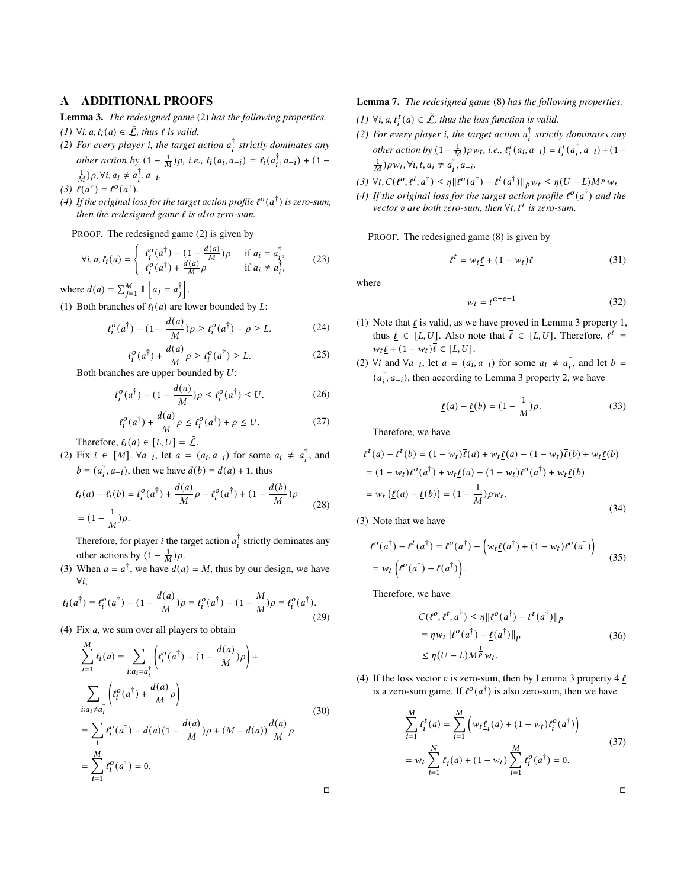## A ADDITIONAL PROOFS

Lemma 3. *The redesigned game* [\(2\)](#page-2-1) *has the following properties.*  $(1) \ \forall i, a, \ell_i(a) \in \tilde{L}$ , thus  $\ell$  is valid.

(2) For every player *i*, the target action  $a_i^{\dagger}$  strictly dominates any *other action by*  $(1 - \frac{1}{M})\rho$ , *i.e.*,  $\ell_i(a_i, a_{-i}) = \ell_i(a_i^{\dagger}, a_{-i}) + (1 - \frac{1}{M})\rho$  $\frac{1}{M}$ ) $\rho$ ,  $\forall i$ ,  $a_i \neq a_i^{\dagger}$ ,  $a_{-i}$ .

(3)  $\ell(a^{\dagger}) = \ell^{o}(a^{\dagger}).$ 

(4) If the original loss for the target action profile  $\ell^{\circ}(a^{\dagger})$  is zero-sum, *then the redesigned game ℓ is also zero-sum.* 

PROOF. The redesigned game [\(2\)](#page-2-1) is given by

$$
\forall i, a, \ell_i(a) = \begin{cases} \ell_i^o(a^\dagger) - (1 - \frac{d(a)}{M})\rho & \text{if } a_i = a_i^\dagger, \\ \ell_i^o(a^\dagger) + \frac{d(a)}{M}\rho & \text{if } a_i \neq a_i^\dagger, \end{cases}
$$
(23)

where  $d(a) = \sum_{j=1}^{M} 1 \left[ a_j = a_j^{\dagger} \right]$ .

(1) Both branches of  $\ell_i(a)$  are lower bounded by L:

$$
\ell_i^o(a^{\dagger}) - (1 - \frac{d(a)}{M})\rho \ge \ell_i^o(a^{\dagger}) - \rho \ge L. \tag{24}
$$

$$
\ell_i^o(a^{\dagger}) + \frac{d(a)}{M} \rho \ge \ell_i^o(a^{\dagger}) \ge L. \tag{25}
$$

Both branches are upper bounded by  $U$ :

$$
\ell_i^o(a^\dagger) - (1 - \frac{d(a)}{M})\rho \le \ell_i^o(a^\dagger) \le U. \tag{26}
$$

$$
\ell_i^o(a^\dagger) + \frac{d(a)}{M}\rho \le \ell_i^o(a^\dagger) + \rho \le U. \tag{27}
$$

Therefore,  $\ell_i(a) \in [L, U] = \tilde{\mathcal{L}}$ .

(2) Fix *i* ∈ [*M*].  $\forall a_{-i}$ , let *a* = (*a<sub>i</sub>*, *a*<sub>-*i*</sub>) for some *a<sub>i</sub>* ≠ *a*<sub>*i*</sub><sup>†</sup>, and  $b = (a_i^{\dagger}, a_{-i})$ , then we have  $d(b) = d(a) + 1$ , thus

$$
\ell_i(a) - \ell_i(b) = \ell_i^o(a^{\dagger}) + \frac{d(a)}{M} \rho - \ell_i^o(a^{\dagger}) + (1 - \frac{d(b)}{M})\rho
$$
  
=  $(1 - \frac{1}{M})\rho$ . (28)

Therefore, for player *i* the target action  $a_i^{\dagger}$  strictly dominates any other actions by  $(1 - \frac{1}{M})\rho$ .

(3) When  $a = a^{\dagger}$ , we have  $d(a) = M$ , thus by our design, we have ∀,

$$
\ell_i(a^{\dagger}) = \ell_i^o(a^{\dagger}) - (1 - \frac{d(a)}{M})\rho = \ell_i^o(a^{\dagger}) - (1 - \frac{M}{M})\rho = \ell_i^o(a^{\dagger}).
$$
\n(29)

(4) Fix  $a$ , we sum over all players to obtain

$$
\sum_{i=1}^{M} \ell_i(a) = \sum_{i:a_i = a_i^{\dagger}} \left( \ell_i^o(a^{\dagger}) - (1 - \frac{d(a)}{M})\rho \right) +
$$
\n
$$
\sum_{i:a_i \neq a_i^{\dagger}} \left( \ell_i^o(a^{\dagger}) + \frac{d(a)}{M}\rho \right)
$$
\n
$$
= \sum_{i} \ell_i^o(a^{\dagger}) - d(a)(1 - \frac{d(a)}{M})\rho + (M - d(a))\frac{d(a)}{M}\rho
$$
\n
$$
= \sum_{i=1}^{M} \ell_i^o(a^{\dagger}) = 0.
$$
\n(30)

Lemma 7. *The redesigned game* [\(8\)](#page-3-2) *has the following properties.*

- $(1) \ \forall i, a, \ell_i^t(a) \in \tilde{L}$ , thus the loss function is valid.
- (2) For every player *i*, the target action  $a_i^{\dagger}$  strictly dominates any *other action by*  $(1 - \frac{1}{M}) \rho w_t$ , *i.e.*,  $\ell_i^t(a_i, a_{-i}) = \ell_i^t(a_i^{\dagger}, a_{-i}) + (1 - \frac{1}{M}) \rho w_t$  $\frac{1}{M}$ ) $\rho w_t$ ,  $\forall i, t, a_i \neq a_i^{\dagger}, a_{-i}$ .
- $(3) \ \forall t, C(\ell^o, \ell^t, a^{\dagger}) \leq \eta || \ell^o(a^{\dagger}) \ell^t(a^{\dagger}) ||_p w_t \leq \eta (U L) M^{\frac{1}{p}} w_t$
- (4) If the original loss for the target action profile  $\ell^{\circ}(a^{\dagger})$  and the *vector v* are both zero-sum, then ∀t, *t*<sup>t</sup> is zero-sum.

PROOF. The redesigned game [\(8\)](#page-3-2) is given by

$$
\ell^t = w_t \underline{\ell} + (1 - w_t)\overline{\ell}
$$
 (31)

where

$$
w_t = t^{\alpha + \epsilon - 1} \tag{32}
$$

- (1) Note that  $\ell$  is valid, as we have proved in Lemma [3](#page-1-1) property [1,](#page-1-2) thus  $\underline{\ell} \in [L, U]$ . Also note that  $\overline{\ell} \in [L, U]$ . Therefore,  $\ell^t =$  $w_t \underline{\ell} + (1 - w_t) \overline{\ell} \in [L, U].$
- (2) ∀*i* and ∀*a*<sub>−*i*</sub>, let *a* =  $(a_i, a_{-i})$  for some  $a_i \neq a_i^{\dagger}$ , and let *b* =  $(a_i^{\dagger}, a_{-i})$ , then according to Lemma [3](#page-1-1) property [2,](#page-2-2) we have

$$
\underline{\ell}(a) - \underline{\ell}(b) = (1 - \frac{1}{M})\rho.
$$
 (33)

Therefore, we have

$$
\ell^{t}(a) - \ell^{t}(b) = (1 - w_{t})\overline{\ell}(a) + w_{t}\underline{\ell}(a) - (1 - w_{t})\overline{\ell}(b) + w_{t}\underline{\ell}(b)
$$
  

$$
= (1 - w_{t})\ell^{o}(a^{\dagger}) + w_{t}\underline{\ell}(a) - (1 - w_{t})\ell^{o}(a^{\dagger}) + w_{t}\underline{\ell}(b)
$$
  

$$
= w_{t} (\underline{\ell}(a) - \underline{\ell}(b)) = (1 - \frac{1}{M})\rho w_{t}.
$$
 (34)

(3) Note that we have

$$
\ell^o(a^\dagger) - \ell^t(a^\dagger) = \ell^o(a^\dagger) - \left(w_t \underline{\ell}(a^\dagger) + (1 - w_t)\ell^o(a^\dagger)\right)
$$
  
=  $w_t \left(\ell^o(a^\dagger) - \underline{\ell}(a^\dagger)\right).$  (35)

Therefore, we have

$$
C(\ell^o, \ell^t, a^{\dagger}) \le \eta \| \ell^o(a^{\dagger}) - \ell^t(a^{\dagger}) \|_p
$$
  
=  $\eta w_t \| \ell^o(a^{\dagger}) - \underline{\ell}(a^{\dagger}) \|_p$   
 $\le \eta (U - L) M^{\frac{1}{p}} w_t.$  (36)

(4) If the loss vector  $v$  is zero-sum, then by Lemma [3](#page-1-1) property [4](#page-2-5)  $\ell$ is a zero-sum game. If  $\ell^o(a^{\dagger})$  is also zero-sum, then we have

$$
\sum_{i=1}^{M} \ell_i^t(a) = \sum_{i=1}^{M} \left( w_t \underline{\ell}_i(a) + (1 - w_t) \ell_i^0(a^{\dagger}) \right)
$$
  
=  $w_t \sum_{i=1}^{N} \underline{\ell}_i(a) + (1 - w_t) \sum_{i=1}^{M} \ell_i^0(a^{\dagger}) = 0.$  (37)

□